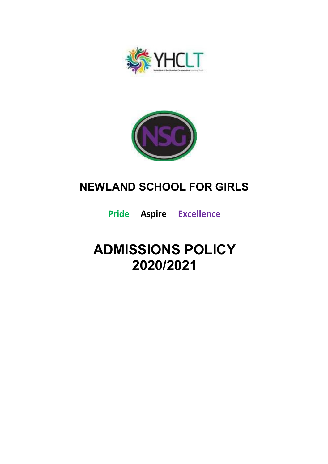



## **NEWLAND SCHOOL FOR GIRLS**

**Pride Aspire Excellence**

# **ADMISSIONS POLICY 2020/2021**

 $\mathcal{L}^{\text{max}}_{\text{max}}$  , where  $\mathcal{L}^{\text{max}}_{\text{max}}$ 

 $\mathcal{L}^{\text{max}}_{\text{max}}$  ,  $\mathcal{L}^{\text{max}}_{\text{max}}$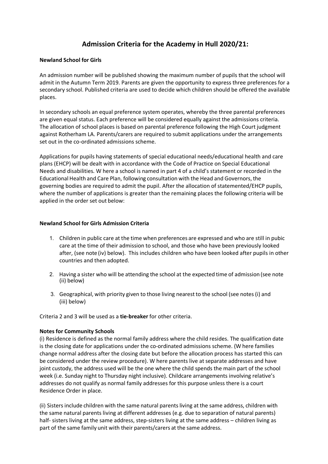### **Admission Criteria for the Academy in Hull 2020/21:**

#### **Newland School for Girls**

An admission number will be published showing the maximum number of pupils that the school will admit in the Autumn Term 2019. Parents are given the opportunity to express three preferences for a secondary school. Published criteria are used to decide which children should be offered the available places.

In secondary schools an equal preference system operates, whereby the three parental preferences are given equal status. Each preference will be considered equally against the admissions criteria. The allocation of school places is based on parental preference following the High Court judgment against Rotherham LA. Parents/carers are required to submit applications under the arrangements set out in the co-ordinated admissions scheme.

Applications for pupils having statements of special educational needs/educational health and care plans (EHCP) will be dealt with in accordance with the Code of Practice on Special Educational Needs and disabilities. W here a school is named in part 4 of a child's statement or recorded in the Educational Health and Care Plan, following consultation with the Head and Governors, the governing bodies are required to admit the pupil. After the allocation of statemented/EHCP pupils, where the number of applications is greater than the remaining places the following criteria will be applied in the order set out below:

#### **Newland School for Girls Admission Criteria**

- 1. Children in public care at the time when preferences are expressed and who are still in pubic care at the time of their admission to school, and those who have been previously looked after, (see note (iv) below). This includes children who have been looked after pupils in other countries and then adopted.
- 2. Having a sister who will be attending the school at the expected time of admission (see note (ii) below)
- 3. Geographical, with priority given to those living nearestto the school (see notes (i) and (iii) below)

Criteria 2 and 3 will be used as a **tie-breaker** for other criteria.

#### **Notes for Community Schools**

(i) Residence is defined as the normal family address where the child resides. The qualification date is the closing date for applications under the co-ordinated admissions scheme. (W here families change normal address after the closing date but before the allocation process has started this can be considered under the review procedure). W here parents live at separate addresses and have joint custody, the address used will be the one where the child spends the main part of the school week (i.e. Sunday night to Thursday night inclusive). Childcare arrangements involving relative's addresses do not qualify as normal family addresses for this purpose unless there is a court Residence Order in place.

(ii) Sistersinclude children with the same natural parentsliving at the same address, children with the same natural parents living at different addresses (e.g. due to separation of natural parents) half- sisters living at the same address, step-sisters living at the same address – children living as part of the same family unit with their parents/carers at the same address.